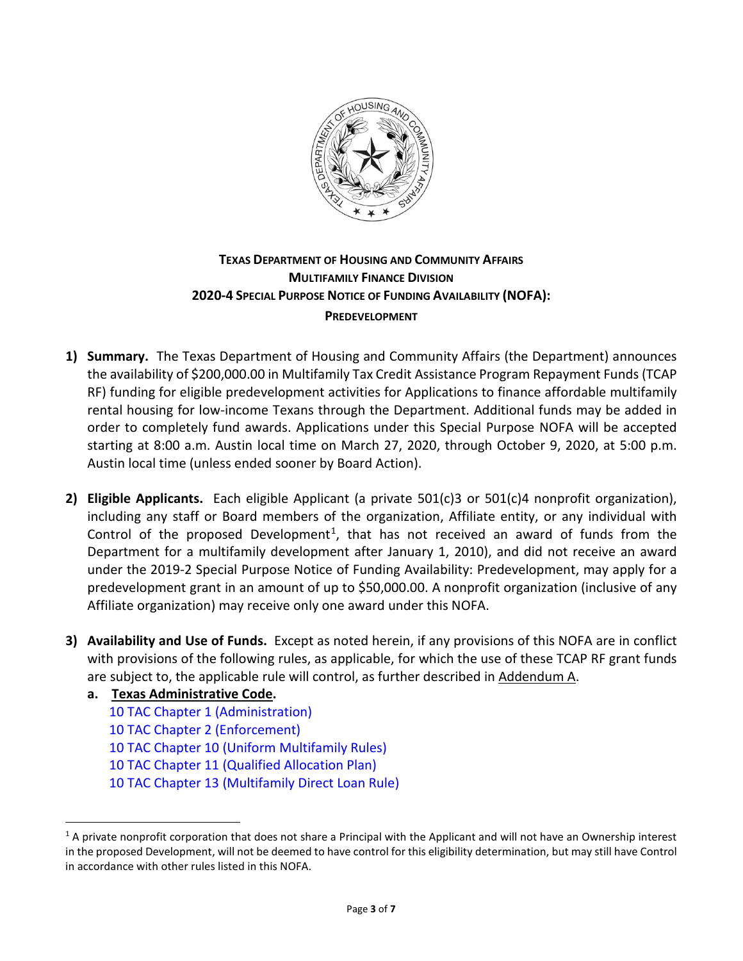

# **TEXAS DEPARTMENT OF HOUSING AND COMMUNITY AFFAIRS MULTIFAMILY FINANCE DIVISION 2020-4 SPECIAL PURPOSE NOTICE OF FUNDING AVAILABILITY (NOFA): PREDEVELOPMENT**

- **1) Summary.** The Texas Department of Housing and Community Affairs (the Department) announces the availability of \$200,000.00 in Multifamily Tax Credit Assistance Program Repayment Funds (TCAP RF) funding for eligible predevelopment activities for Applications to finance affordable multifamily rental housing for low-income Texans through the Department. Additional funds may be added in order to completely fund awards. Applications under this Special Purpose NOFA will be accepted starting at 8:00 a.m. Austin local time on March 27, 2020, through October 9, 2020, at 5:00 p.m. Austin local time (unless ended sooner by Board Action).
- **2) Eligible Applicants.** Each eligible Applicant (a private 501(c)3 or 501(c)4 nonprofit organization), including any staff or Board members of the organization, Affiliate entity, or any individual with Control of the proposed Development<sup>1</sup>, that has not received an award of funds from the Department for a multifamily development after January 1, 2010), and did not receive an award under the 2019-2 Special Purpose Notice of Funding Availability: Predevelopment, may apply for a predevelopment grant in an amount of up to \$50,000.00. A nonprofit organization (inclusive of any Affiliate organization) may receive only one award under this NOFA.
- **3) Availability and Use of Funds.** Except as noted herein, if any provisions of this NOFA are in conflict with provisions of the following rules, as applicable, for which the use of these TCAP RF grant funds are subject to, the applicable rule will control, as further described in Addendum A.
	- **a. Texas Administrative Code.**

 $\overline{a}$ 

[10 TAC Chapter 1 \(Administration\)](https://texreg.sos.state.tx.us/public/readtac$ext.ViewTAC?tac_view=4&ti=10&pt=1&ch=1) [10 TAC Chapter 2 \(Enforcement\)](https://texreg.sos.state.tx.us/public/readtac$ext.ViewTAC?tac_view=4&ti=10&pt=1&ch=2) [10 TAC Chapter 10 \(Uniform Multifamily Rules\)](https://texreg.sos.state.tx.us/public/readtac$ext.ViewTAC?tac_view=4&ti=10&pt=1&ch=10) [10 TAC Chapter 11 \(Qualified Allocation Plan\)](https://texreg.sos.state.tx.us/public/readtac$ext.ViewTAC?tac_view=4&ti=10&pt=1&ch=11) [10 TAC Chapter 13 \(Multifamily Direct Loan Rule\)](https://texreg.sos.state.tx.us/public/readtac$ext.ViewTAC?tac_view=4&ti=10&pt=1&ch=13&rl=Y)

<span id="page-0-0"></span> $1$  A private nonprofit corporation that does not share a Principal with the Applicant and will not have an Ownership interest in the proposed Development, will not be deemed to have control for this eligibility determination, but may still have Control in accordance with other rules listed in this NOFA.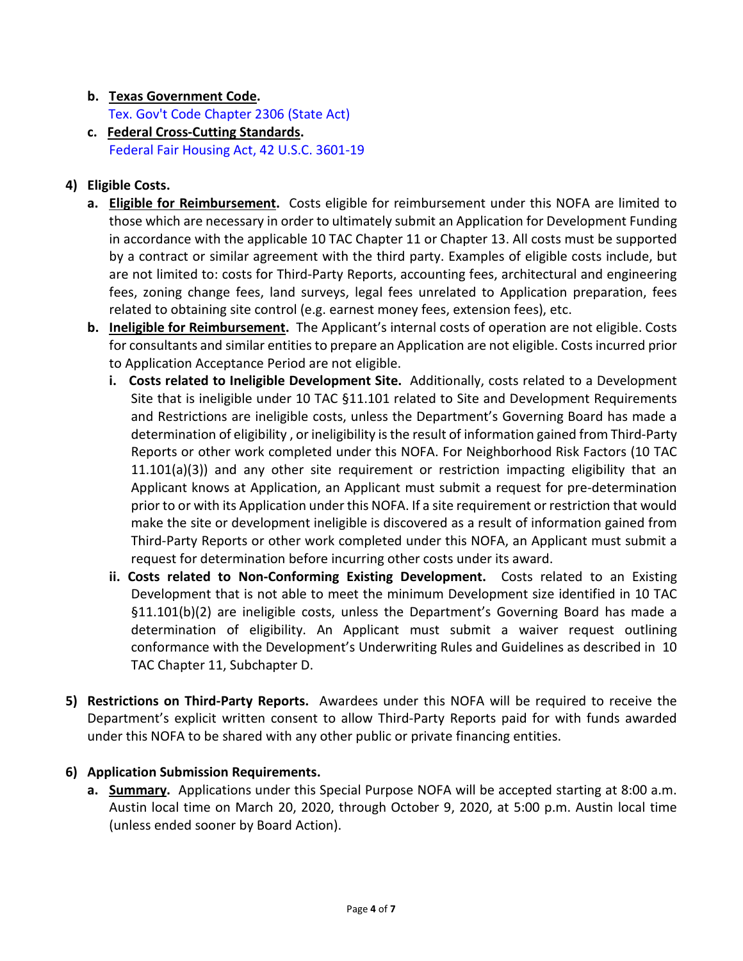### **b. Texas Government Code.**

[Tex. Gov't Code Chapter 2306 \(State Act\)](http://www.statutes.legis.state.tx.us/Docs/GV/htm/GV.2306.htm)

**c. Federal Cross-Cutting Standards.** [Federal Fair Housing Act, 42 U.S.C. 3601-19](https://www.justice.gov/crt/fair-housing-act-2)

# **4) Eligible Costs.**

- **a. Eligible for Reimbursement.** Costs eligible for reimbursement under this NOFA are limited to those which are necessary in order to ultimately submit an Application for Development Funding in accordance with the applicable 10 TAC Chapter 11 or Chapter 13. All costs must be supported by a contract or similar agreement with the third party. Examples of eligible costs include, but are not limited to: costs for Third-Party Reports, accounting fees, architectural and engineering fees, zoning change fees, land surveys, legal fees unrelated to Application preparation, fees related to obtaining site control (e.g. earnest money fees, extension fees), etc.
- **b. Ineligible for Reimbursement.** The Applicant's internal costs of operation are not eligible. Costs for consultants and similar entities to prepare an Application are not eligible. Costs incurred prior to Application Acceptance Period are not eligible.
	- **i. Costs related to Ineligible Development Site.** Additionally, costs related to a Development Site that is ineligible under 10 TAC §11.101 related to Site and Development Requirements and Restrictions are ineligible costs, unless the Department's Governing Board has made a determination of eligibility , or ineligibility is the result of information gained from Third-Party Reports or other work completed under this NOFA. For Neighborhood Risk Factors (10 TAC  $11.101(a)(3)$ ) and any other site requirement or restriction impacting eligibility that an Applicant knows at Application, an Applicant must submit a request for pre-determination prior to or with its Application under this NOFA. If a site requirement or restriction that would make the site or development ineligible is discovered as a result of information gained from Third-Party Reports or other work completed under this NOFA, an Applicant must submit a request for determination before incurring other costs under its award.
	- **ii. Costs related to Non-Conforming Existing Development.** Costs related to an Existing Development that is not able to meet the minimum Development size identified in 10 TAC §11.101(b)(2) are ineligible costs, unless the Department's Governing Board has made a determination of eligibility. An Applicant must submit a waiver request outlining conformance with the Development's Underwriting Rules and Guidelines as described in 10 TAC Chapter 11, Subchapter D.
- **5) Restrictions on Third-Party Reports.** Awardees under this NOFA will be required to receive the Department's explicit written consent to allow Third-Party Reports paid for with funds awarded under this NOFA to be shared with any other public or private financing entities.

# **6) Application Submission Requirements.**

**a. Summary.** Applications under this Special Purpose NOFA will be accepted starting at 8:00 a.m. Austin local time on March 20, 2020, through October 9, 2020, at 5:00 p.m. Austin local time (unless ended sooner by Board Action).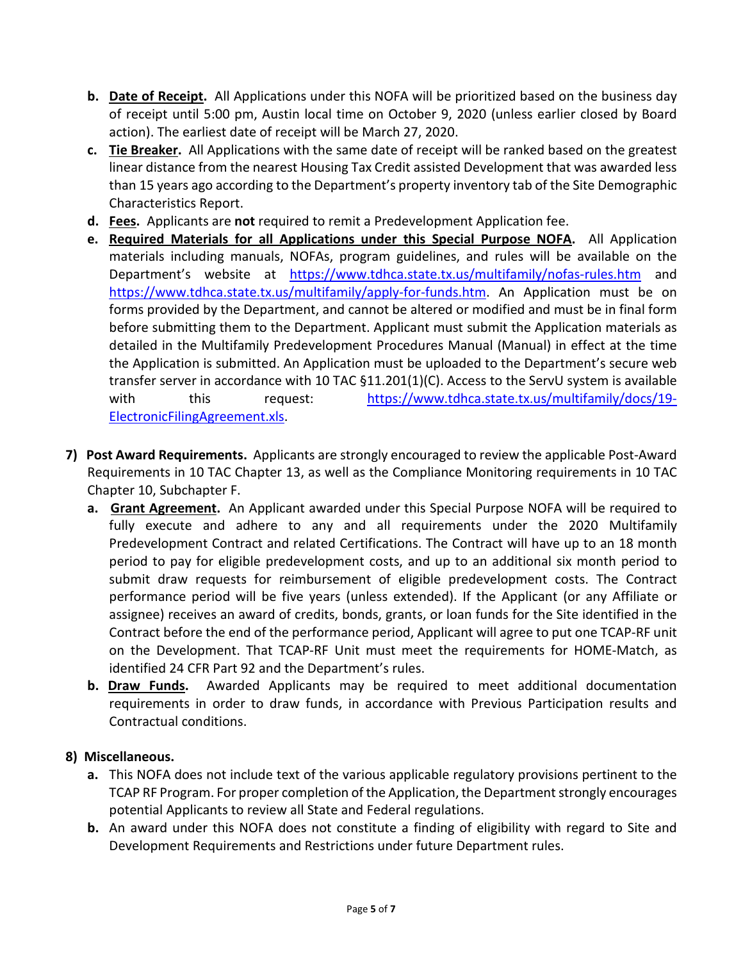- **b. Date of Receipt.** All Applications under this NOFA will be prioritized based on the business day of receipt until 5:00 pm, Austin local time on October 9, 2020 (unless earlier closed by Board action). The earliest date of receipt will be March 27, 2020.
- **c. Tie Breaker.** All Applications with the same date of receipt will be ranked based on the greatest linear distance from the nearest Housing Tax Credit assisted Development that was awarded less than 15 years ago according to the Department's property inventory tab of the Site Demographic Characteristics Report.
- **d. Fees.** Applicants are **not** required to remit a Predevelopment Application fee.
- **e. Required Materials for all Applications under this Special Purpose NOFA.** All Application materials including manuals, NOFAs, program guidelines, and rules will be available on the Department's website at <https://www.tdhca.state.tx.us/multifamily/nofas-rules.htm> and [https://www.tdhca.state.tx.us/multifamily/apply-for-funds.htm.](https://www.tdhca.state.tx.us/multifamily/apply-for-funds.htm) An Application must be on forms provided by the Department, and cannot be altered or modified and must be in final form before submitting them to the Department. Applicant must submit the Application materials as detailed in the Multifamily Predevelopment Procedures Manual (Manual) in effect at the time the Application is submitted. An Application must be uploaded to the Department's secure web transfer server in accordance with 10 TAC §11.201(1)(C). Access to the ServU system is available with this request: [https://www.tdhca.state.tx.us/multifamily/docs/19-](https://www.tdhca.state.tx.us/multifamily/docs/19-ElectronicFilingAgreement.xls) [ElectronicFilingAgreement.xls.](https://www.tdhca.state.tx.us/multifamily/docs/19-ElectronicFilingAgreement.xls)
- **7) Post Award Requirements.** Applicants are strongly encouraged to review the applicable Post-Award Requirements in 10 TAC Chapter 13, as well as the Compliance Monitoring requirements in 10 TAC Chapter 10, Subchapter F.
	- **a. Grant Agreement.** An Applicant awarded under this Special Purpose NOFA will be required to fully execute and adhere to any and all requirements under the 2020 Multifamily Predevelopment Contract and related Certifications. The Contract will have up to an 18 month period to pay for eligible predevelopment costs, and up to an additional six month period to submit draw requests for reimbursement of eligible predevelopment costs. The Contract performance period will be five years (unless extended). If the Applicant (or any Affiliate or assignee) receives an award of credits, bonds, grants, or loan funds for the Site identified in the Contract before the end of the performance period, Applicant will agree to put one TCAP-RF unit on the Development. That TCAP-RF Unit must meet the requirements for HOME-Match, as identified 24 CFR Part 92 and the Department's rules.
	- **b. Draw Funds.** Awarded Applicants may be required to meet additional documentation requirements in order to draw funds, in accordance with Previous Participation results and Contractual conditions.

# **8) Miscellaneous.**

- **a.** This NOFA does not include text of the various applicable regulatory provisions pertinent to the TCAP RF Program. For proper completion of the Application, the Department strongly encourages potential Applicants to review all State and Federal regulations.
- **b.** An award under this NOFA does not constitute a finding of eligibility with regard to Site and Development Requirements and Restrictions under future Department rules.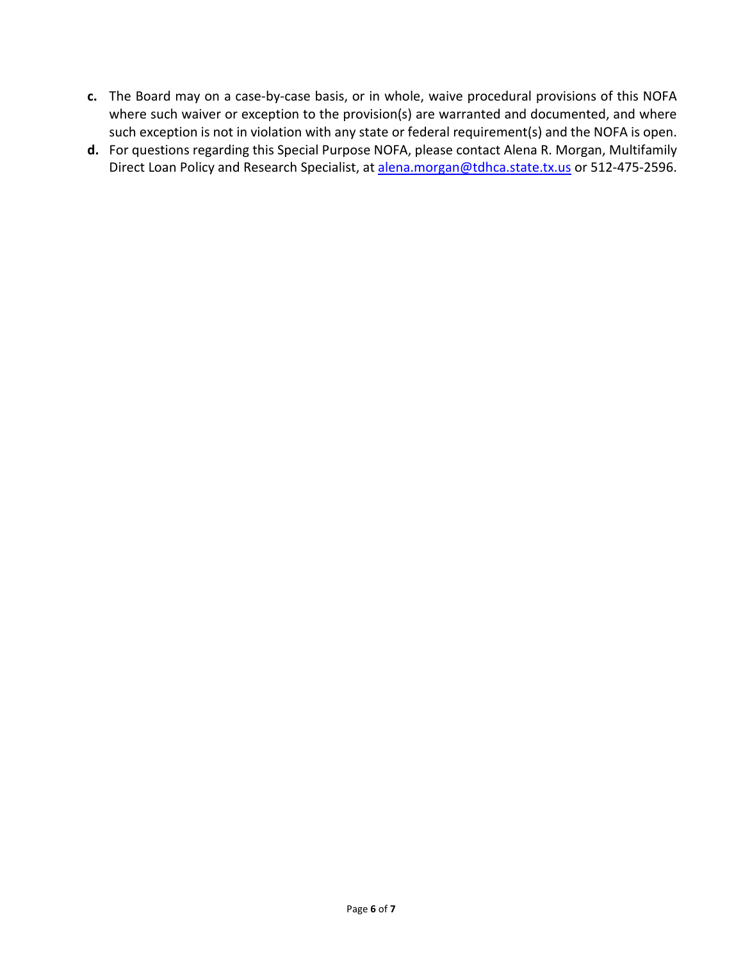- **c.** The Board may on a case-by-case basis, or in whole, waive procedural provisions of this NOFA where such waiver or exception to the provision(s) are warranted and documented, and where such exception is not in violation with any state or federal requirement(s) and the NOFA is open.
- **d.** For questions regarding this Special Purpose NOFA, please contact Alena R. Morgan, Multifamily Direct Loan Policy and Research Specialist, at [alena.morgan@tdhca.state.tx.us](mailto:alena.morgan@tdhca.state.tx.us) or 512-475-2596.